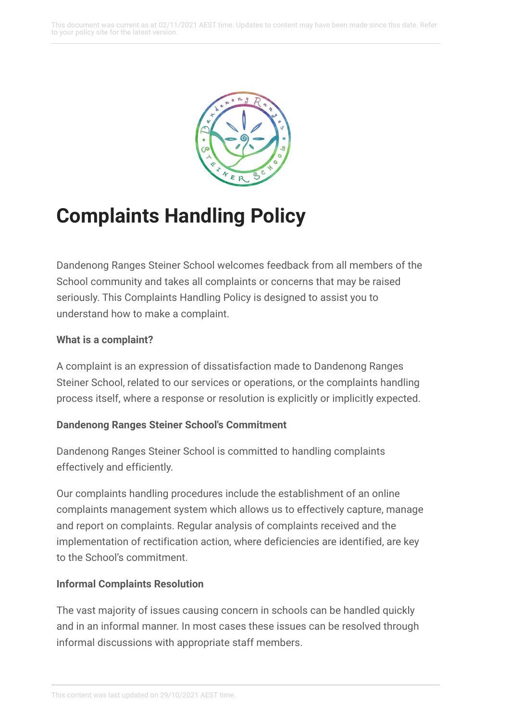

# **Complaints Handling Policy**

Dandenong Ranges Steiner School welcomes feedback from all members of the School community and takes all complaints or concerns that may be raised seriously. This Complaints Handling Policy is designed to assist you to understand how to make a complaint.

### **What is a complaint?**

A complaint is an expression of dissatisfaction made to Dandenong Ranges Steiner School, related to our services or operations, or the complaints handling process itself, where a response or resolution is explicitly or implicitly expected.

### **Dandenong Ranges Steiner School's Commitment**

Dandenong Ranges Steiner School is committed to handling complaints effectively and efficiently.

Our complaints handling procedures include the establishment of an online complaints management system which allows us to effectively capture, manage and report on complaints. Regular analysis of complaints received and the implementation of rectification action, where deficiencies are identified, are key to the School's commitment.

### **Informal Complaints Resolution**

The vast majority of issues causing concern in schools can be handled quickly and in an informal manner. In most cases these issues can be resolved through informal discussions with appropriate staff members.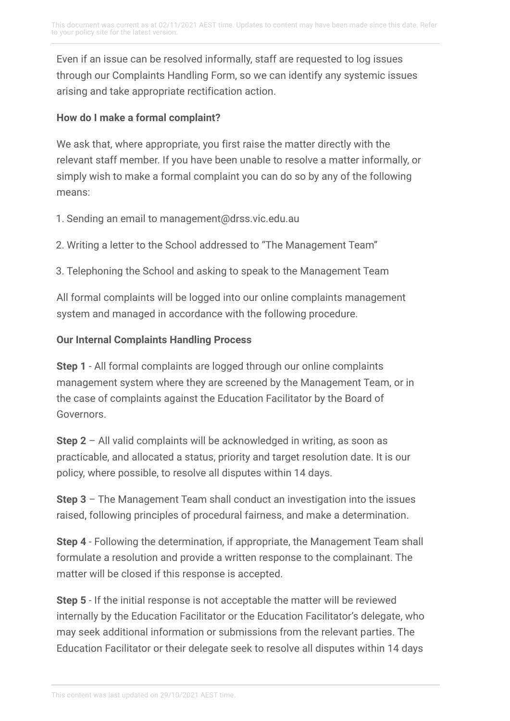Even if an issue can be resolved informally, staff are requested to log issues through our Complaints Handling Form, so we can identify any systemic issues arising and take appropriate rectification action.

#### **How do I make a formal complaint?**

We ask that, where appropriate, you first raise the matter directly with the relevant staff member. If you have been unable to resolve a matter informally, or simply wish to make a formal complaint you can do so by any of the following means:

- 1. Sending an email to management@drss.vic.edu.au
- 2. Writing a letter to the School addressed to "The Management Team"

3. Telephoning the School and asking to speak to the Management Team

All formal complaints will be logged into our online complaints management system and managed in accordance with the following procedure.

#### **Our Internal Complaints Handling Process**

**Step 1** - All formal complaints are logged through our online complaints management system where they are screened by the Management Team, or in the case of complaints against the Education Facilitator by the Board of Governors.

**Step 2** – All valid complaints will be acknowledged in writing, as soon as practicable, and allocated a status, priority and target resolution date. It is our policy, where possible, to resolve all disputes within 14 days.

**Step 3** – The Management Team shall conduct an investigation into the issues raised, following principles of procedural fairness, and make a determination.

**Step 4** - Following the determination, if appropriate, the Management Team shall formulate a resolution and provide a written response to the complainant. The matter will be closed if this response is accepted.

**Step 5** - If the initial response is not acceptable the matter will be reviewed internally by the Education Facilitator or the Education Facilitator's delegate, who may seek additional information or submissions from the relevant parties. The Education Facilitator or their delegate seek to resolve all disputes within 14 days